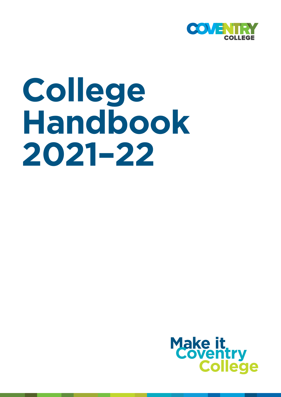

# **College Handbook 2021–22**

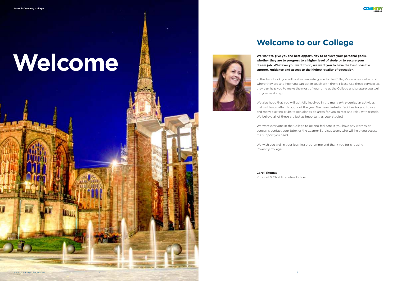**We want to give you the best opportunity to achieve your personal goals, whether they are to progress to a higher level of study or to secure your dream job. Whatever you want to do, we want you to have the best possible support, guidance and access to the highest quality of education.**

In this handbook you will find a complete guide to the College's services - what and where they are and how you can get in touch with them. Please use these services as they can help you to make the most of your time at the College and prepare you well for your next step.

We also hope that you will get fully involved in the many extra-curricular activities that will be on offer throughout the year. We have fantastic facilities for you to use and many exciting clubs to join alongside areas for you to rest and relax with friends. We believe all of these are just as important as your studies!

We want everyone in the College to be and feel safe. If you have any worries or concerns contact your tutor, or the Learner Services team, who will help you access the support you need.

We wish you well in your learning programme and thank you for choosing

Coventry College.

**Carol Thomas**  Principal & Chief Executive Officer

# **Welcome**



## **Welcome to our College**



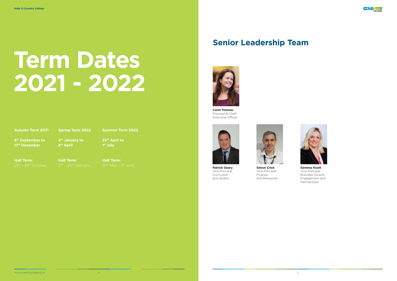**Carol Thomas**  Principal & Chief Executive Officer



| <b>Autumn Term 2021</b> |  |
|-------------------------|--|
|                         |  |
|                         |  |

**6 th September to 17th December**

**Half Term:**

**Spring Term 2022**

**4th January to 8 th April**

**Half Term:**

**Summer Term 2022**

**25th April to 1 st July**

**Half Term:**

## **Senior Leadership Team**



# **Term Dates 2021 - 2022**

**Patrick Geary** Vice Principal, Curriculum and Quality



**Simon Crick** Vice Principal, Finance and Resources



**Gemma Knott** Vice Principal, Business Growth, Engagement and Partnerships

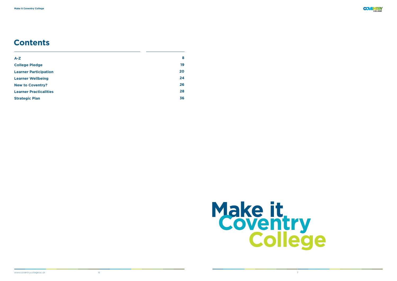| $A-Z$                         | 8  |
|-------------------------------|----|
| <b>College Pledge</b>         | 19 |
| <b>Learner Participation</b>  | 20 |
| <b>Learner Wellbeing</b>      | 24 |
| <b>New to Coventry?</b>       | 26 |
| <b>Learner Practicalities</b> | 28 |
| <b>Strategic Plan</b>         | 36 |



## **Contents**



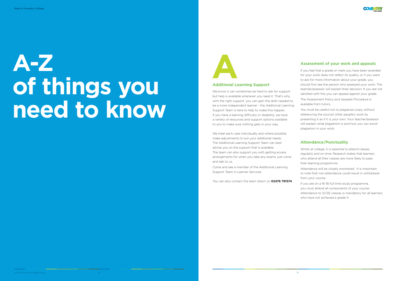# **A-Z of things you need to know**



#### **Additional Learning Support**

We know it can sometimes be hard to ask for support but help is available whenever you need it. That's why, with the right support, you can gain the skills needed to be a more independent learner - the Additional Learning Support Team is here to help to make this happen. If you have a learning difficulty or disability, we have a variety of resources and support options available to you to make sure nothing gets in your way.

If you feel that a grade or mark you have been awarded for your work does not reflect its quality, or if you want to ask for more information about your grade, you should first see the person who assessed your work. The teacher/assessor will explain their decision. If you are not satisfied with this you can appeal against your grade.

We treat each case individually and where possible, make adjustments to suit your additional needs. The Additional Learning Support Team can best advise you on the support that is available. The team can also support you with getting access arrangements for when you take any exams, just come and talk to us.

Come and see a member of the Additional Learning Support Team in Learner Services.

You can also contact the team direct on **02476 791574**.

#### **Assessment of your work and appeals**



The Assessment Policy and Appeals Procedure is available from tutors.

You must be careful not to plagiarise (copy without referencing the source) other people's work by presenting it as if it is your own. Your teacher/assessor will explain what plagiarism is and how you can avoid plagiarism in your work.

#### **Attendance/Punctuality**

Whilst at college, it is essential to attend classes regularly and on time. Research states that learners who attend all their classes are more likely to pass their learning programme.

Attendance will be closely monitored. It is important to note that non-attendance could result in withdrawal from your course.

If you are on a 16-18 full time study programme, you must attend all components of your course. Attendance to GCSE classes is mandatory for all learners who have not achieved a grade 4.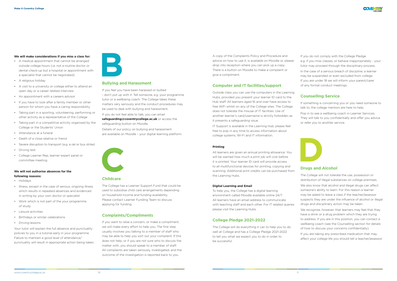#### **We will make considerations if you miss a class for:**

- A medical appointment that cannot be arranged outside college hours (i.e. not a routine doctor or dental check-up but a hospital or appointment with a specialist that cannot be negotiated)
- A religious holiday
- A visit to a university or college either to attend an open day or a career related interview
- An appointment with a careers advisor
- If you have to look after a family member or other person for whom you have a caring responsibility
- Taking part in a sporting, volunteering, performing or other activity as a representative of the College
- Taking part in a competitive activity organised by the College or the Students' Union
- Attendance at a funeral
- Death of a close relative or friend
- Severe disruption to transport (e.g. a rail or bus strike)
- Driving test
- College Learner Rep, learner expert panel or committee meeting

#### **We will not authorise absences for the following reasons:**

- Holidays
- Illness, except in the case of serious, ongoing illness which results in repeated absences and evidenced in writing by your own doctor or specialist
- Work which is not part of the your programme of study
- Leisure activities
- Birthdays or similar celebrations
- Driving lessons

Your tutor will explain the full absence and punctuality policies to you in a tutorial early in your programme. Failure to maintain a good level of attendance/ punctuality will result in appropriate action being taken.



#### **Bullying and Harassment**

If you feel you have been harassed or bullied - don't put up with it. Tell someone, e.g. your programme tutor or a wellbeing coach. The College takes these matters very seriously and the conduct procedures may be used to deal with bullying and harassment.

If you do not feel able to talk, you can email

**safeguarding@coventrycollege.ac.uk** or access the safeguarding button on Moodle.

Details of our policy on bullying and harassment are available on Moodle – your digital learning platform.



#### **Childcare**

The College has a Learner Support Fund that could be used to subsidise child care arrangements depending on household income and funding availability. Please contact Learner Funding Team to discuss applying for funding.

#### **Complaints/Compliments**

If you want to raise a concern, or make a compliment, we will make every effort to help you. The first step usually involves you talking to a member of staff who may be able to help you sort out your complaint. If this does not help, or if you are not sure who to discuss the matter with, you should speak to a member of staff. All complaints are taken seriously, investigated, and the outcome of the investigation is reported back to you.

We also know that alcohol and illegal drugs can affect someone's ability to learn. For this reason a learner may be asked to leave a class if the teacher/assessor suspects they are under the influence of alcohol or illegal drugs and disciplinary action may be taken.

We recognise, however, that learners may feel that they have a drink or a drug problem which they are trying to address. If you are in this position, you can contact a wellbeing coach (see the Counselling section for details of how to discuss your concerns confidentially).

A copy of the Complaints Policy and Procedure and advice on how to use it, is available on Moodle or, please drop into reception where you can pick up a copy. There is a button on Moodle to make a complaint or give a compliment.

#### **Computer and IT facilities/support**

Outside class you can use the computers in the Learning Hubs, provided you present your learner ID card to the Hub staff. All learners aged 16 and over have access to free WiFi whilst on any of the College sites. The College does not tolerate the misuse of IT facilities. Use of another learner's card/username is strictly forbidden as it presents a safeguarding issue.

IT Support is available in the Learning Hub; please feel free to pop in any time to access information about college systems, Wi-Fi and IT information.

#### **Printing**

All learners are given an annual printing allowance. You will be warned how much a print job will cost before it is printed. Your learner ID card will provide access to all multifunctional devices for printing, copying and scanning. Additional print credits can be purchased from the Learning Hubs.

#### **Digital Learning and Email**

To help you, the College has a digital learning environment called Moodle available online 24/7. All learners have an email address to communicate with teaching staff and each other. For IT related queries please visit the Learning Hubs.

#### **College Pledge 2021-2022**

The College will do everything it can to help you to do well at College and has a College Pledge 2021-2022 to tell you what we expect you to do in order to be successful.

If you do not comply with the College Pledge e.g. if you miss classes, or behave inappropriately - your tutor may proceed through the disciplinary process. In the case of a serious breach of discipline, a learner may be suspended or even excluded from college. If you are under 18 we will inform your parent/carer of any formal conduct meetings.

#### **Counselling Service**

If something is concerning you or you need someone to talk to, the college mentors are here to help.

Pop in to see a wellbeing coach in Learner Services. They will talk to you confidentially and offer you advice or refer you to another service.



#### **Drugs and Alcohol**

The College will not tolerate the use, possession or distribution of illegal substances on college premises.

If you are taking any prescribed medication that may affect your college life you should tell a teacher/assessor.

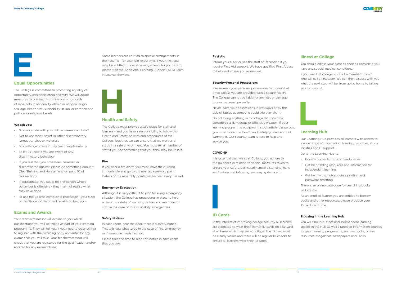#### **Equal Opportunities**

The College is committed to promoting equality of opportunity and celebrating diversity. We will adopt measures to combat discrimination on grounds of race, colour, nationality, ethnic or national origin, sex, age, health status, disability, sexual orientation and political or religious beliefs.

#### **We ask you:**

- To co-operate with your fellow learners and staff
- Not to use racist, sexist or other discriminatory language, jokes or materials
- To challenge others if they treat people unfairly
- To let us know if you are aware of any discriminatory behaviour
- If you feel that you have been harassed or discriminated against, please do something about it; (See 'Bullying and Harassment' on page 10 of this section)
- If appropriate, you could tell the person whose behaviour is offensive - they may not realise what they have done
- To use the College complaints procedure your tutor or the Students' Union will be able to help you.

Your teacher/assessor will explain to you which qualifications you will be taking as part of your learning programme. They will tell you if you need to do anything to register with the awarding body and enter for any exams that you will take. Your teacher/assessor will check that you are registered for the qualification and/or entered for any examinations.

#### **Exams and Awards**

Some learners are entitled to special arrangements in their exams - for example, extra time. If you think you may be entitled to special arrangements for your exam, please visit the Additional Learning Support (ALS) Team in Learner Services.



#### **Health and Safety**

The College must provide a safe place for staff and learners - and you have a responsibility to follow the Health and Safety policies and procedures of the College. Together, we can ensure that we work and study in a safe environment. You must tell a member of staff if you see something that you think may be unsafe.

#### **Fire**

If you hear a fire alarm you must leave the building immediately and go to the nearest assembly point. Details of the assembly points will be near every fire exit.

#### **Emergency Evacuation**

Although it is very difficult to plan for every emergency situation; the College has procedures in place to help ensure the safety of learners, visitors and members of staff in the case of rare or unlikely emergencies.

#### **Safety Notices**

In each room, near the door, there is a safety notice. This tells you what to do in the case of fire, emergency or if someone needs first aid.

Please take the time to read this notice in each room that you use.

#### **First Aid**

Inform your tutor or see the staff at Reception if you require First Aid support. We have qualified First Aiders to help and advise you as needed.

#### **Security/Personal Possessions**

Please keep your personal possessions with you at all times unless you are provided with a secure facility. The College cannot be liable for any loss or damage to your personal property.

Never leave your possessions in walkways or by the side of tables as someone could trip over them.

Do not bring anything in to college that could be considered a dangerous or offensive weapon. If your learning programme equipment is potentially dangerous, you must follow the Health and Safety guidance about carrying it. Our security team is here to help and advise you.

#### **COVID-19**

It is essential that whilst at College, you adhere to the guidance in relation to special measures taken to ensure your safety, particularly social distancing, hand sanitisation and following one-way systems etc.



#### **ID Cards**

In the interest of improving college security all learners are expected to wear their learner ID cards on a lanyard at all times while they are at college. The ID card must be clearly visible and there will be regular ID checks to ensure all learners wear their ID cards.

#### **Illness at College**

You should advise your tutor as soon as possible if you have any special medical conditions.

If you feel ill at college, contact a member of staff who will call a first aider. We can then discuss with you what the next step will be, from going home to taking you to hospital.

#### **Learning Hub**

Our Learning Hub provides all learners with access to a wide range of information, learning resources, study facilities and IT support.

Go to the Learning Hub to:

- Borrow books, laptops or headphones
- Get help finding resources and information for independent learning
- Get help with photocopying, printing and password resetting

There is an online catalogue for searching books and eBooks.

As an enrolled learner you are entitled to borrow books and other resources; please produce your ID card each time.

#### **Studying in the Learning Hub**

You will find PCs, Macs and independent learning spaces in the Hub as well a range of information sources for your learning programme, such as books, online resources, magazines, newspapers and DVDs.



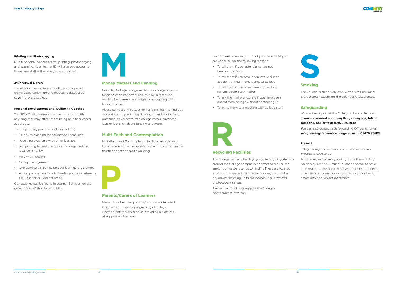#### **Printing and Photocopying**

Multifunctional devices are for printing, photocopying and scanning. Your learner ID will give you access to these, and staff will advise you on their use.

#### **24/7 Virtual Library**

These resources include e-books, encyclopedias, online video streaming and magazine databases covering every subject.

#### **Personal Development and Wellbeing Coaches**

The PDWC help learners who want support with anything that may affect them being able to succeed at college.

This help is very practical and can include:

- Help with planning for coursework deadlines
- Resolving problems with other learners
- Signposting to useful services in college and the local community
- Help with housing
- Money management
- Overcoming difficulties on your learning programme
- Accompanying learners to meetings or appointments e.g. Solicitor or Benefits office

Our coaches can be found in Learner Services, on the ground floor of the North building.



#### **Money Matters and Funding**

Coventry College recognise that our college support funds have an important role to play in removing barriers for learners who might be struggling with financial issues.

Please come along to Learner Funding Team to find out more about help with help buying kit and equipment, bursaries, travel costs, free college meals, advanced learner loans, childcare funding and more.

#### **Multi-Faith and Contemplation**

Multi-Faith and Contemplation facilities are available for all learners to access every day, and is located on the fourth floor of the North building.



#### **Parents/Carers of Learners**

Many of our learners' parents/carers are interested to know how they are progressing at college. Many parents/carers are also providing a high level of support for learners.

For this reason we may contact your parents (if you are under 19) for the following reasons:

- To tell them if your attendance has not been satisfactory
- To tell them if you have been involved in an accident or health emergency at college
- To tell them if you have been involved in a serious disciplinary matter
- To ask them where you are if you have been absent from college without contacting us
- To invite them to a meeting with college staff.



#### **Recycling Facilities**

The College has installed highly visible recycling stations around the College campus in an effort to reduce the amount of waste it sends to landfill. These are located in all public areas and circulation spaces, and smaller dry mixed recycling units are located in all staff and photocopying areas.

Please use the bins to support the College's environmental strategy.

#### **Smoking**

The College is an entirely smoke free site (including E-Cigarettes) except for the clear designated areas.

#### **Safeguarding**

We want everyone at the College to be and feel safe. **If you are worried about anything or anyone, talk to someone. Call or text: 07976 202942**

You can also contact a Safeguarding Officer on email **safeguarding@coventrycollege.ac.uk** or **02476 791115**

#### **Prevent**

Safeguarding our learners, staff and visitors is an important issue to us.

Another aspect of safeguarding is the Prevent duty which requires the Further Education sector to have "due regard to the need to prevent people from being drawn into terrorism, supporting terrorism or being drawn into non-violent extremism".



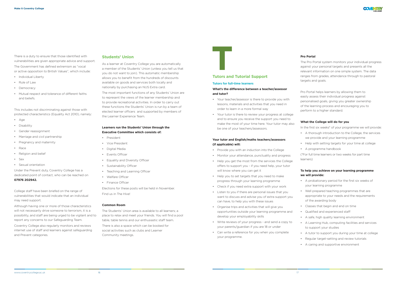There is a duty to ensure that those identified with vulnerabilities are given appropriate advice and support.

The Government has defined extremism as "vocal or active opposition to British Values", which include:

- Individual Liberty
- Rule of Law
- Democracy
- Mutual respect and tolerance of different faiths and beliefs.

This includes not discriminating against those with protected characteristics (Equality Act 2010), namely:

- Age
- Disability
- Gender reassignment
- Marriage and civil partnership
- Pregnancy and maternity
- Race
- Religion and belief
- Sex
- Sexual orientation

Under the Prevent duty, Coventry College has a dedicated point of contact, who can be reached on **07976 202942.** 

College staff have been briefed on the range of vulnerabilities that would indicate that an individual may need support.

Although having one or more of those characteristics will not necessarily drive someone to terrorism, it is a possibility, and staff are being urged to be vigilant and to report any concerns to our Safeguarding Team.

Coventry College also regularly monitors and reviews internet use of staff and learners against safeguarding and Prevent categories.

#### **Students' Union**

As a learner at Coventry College you are automatically a member of the Students' Union (unless you tell us that you do not want to join). This automatic membership allows you to benefit from the hundreds of discounts available on goods and services both locally and nationally by purchasing an NUS Extra card.

The most important functions of any Students' Union are to represent the views of the learner membership and to provide recreational activities. In order to carry out these functions the Students' Union is run by a team of elected learner officers and supported by members of the Learner Experience Team.

#### **Learners run the Students' Union through the Executive Committee which consists of:**

- President
- Vice President
- Digital Media
- Events Officer
- Equality and Diversity Officer
- Sustainability Officer
- Teaching and Learning Officer
- Welfare Officer
- Finance Officer

Elections for these posts will be held in November. Find us in The Hive!

#### **Common Room**

The Students' Union area is available to all learners; a place to relax and meet your friends. You will find a pool table, table tennis and our enthusiastic staff team.

There is also a space which can be booked for social activities such as clubs and Learner Community meetings.

### **Tutors and Tutorial Support**

#### **Tutors for full-time learners**

#### **What's the difference between a teacher/assessor and tutor?**

- Your teacher/assessor is there to provide you with lessons, materials and activities that you need in order to learn in a more formal way
- Your tutor is there to review your progress at college and to ensure you receive the support you need to make the most of your time here. Your tutor may also be one of your teachers/assessors.

#### **Your tutor and English/maths teachers/assessors (if applicable) will:**

- Provide you with an induction into the College
- Monitor your attendance, punctuality and progress
- Help you get the most from the services the College offers to support you - if you need help, your tutor will know where you can get it
- Help you to set targets that you need to make progress through your learning programme
- Check if you need extra support with your work
- Listen to you if there are personal issues that you want to discuss and advise you of extra support you can have, to help you with these issues
- Organise trips and activities that will give you opportunities outside your learning programme and develop your employability skills
- Write reviews of your progress and send a copy to your parents/guardian if you are 18 or under
- Can write a reference for you when you complete your programme.

#### **Pro Portal**

The Pro Portal system monitors your individual progress against your personal targets and presents all the relevant information on one simple system. The data ranges from grades, attendance through to pastoral targets and goals.

Pro Portal helps learners by allowing them to easily assess their individual progress against personalised goals, giving you greater ownership of the learning process and encouraging you to perform to a higher standard.

#### **What the College will do for you**

In the first six weeks\* of your programme we will provide:

- A thorough introduction to the College, the services we provide and your learning programme
- Help with setting targets for your time at college
- A programme handbook

(\*For full time learners or two weeks for part time learners)

#### **To help you achieve on your learning programme we will provide:**

- A probationary period for the first six weeks of your learning programme
- Well prepared teaching programmes that are appropriate to your needs and the requirements of the awarding body
- Classes that begin and end on time
- Qualified and experienced staff
- A safe, high quality learning environment
- A Learning Hub, computing facilities and services to support your studies
- A tutor to support you during your time at college
- Regular target-setting and review tutorials
- A caring and supportive environment

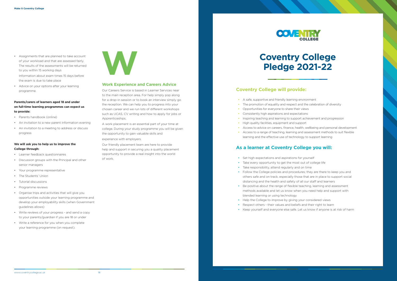- Assignments that are planned to take account of your workload and that are assessed fairly. The results of the assessments will be returned to you within 15 working days Information about exam times 15 days before
- Advice on your options after your learning programme.

the exam is due to take place

#### **Parents/carers of learners aged 18 and under on full-time learning programmes can expect us to provide:**

- Parents handbook (online)
- An invitation to a new parent information evening
- An invitation to a meeting to address or discuss progress

#### **We will ask you to help us to improve the College through:**

- Learner feedback questionnaires
- Discussion groups with the Principal and other senior managers
- Your programme representative
- The Students' Union
- Tutorial discussions
- Programme reviews
- Organise trips and activities that will give you opportunities outside your learning programme and develop your employability skills (when Government guidelines allows)
- Write reviews of your progress and send a copy to your parents/guardian if you are 18 or under
- Write a reference for you when you complete your learning programme (on request).



#### **Work Experience and Careers Advice**

Our Careers Service is based in Learner Services near to the main reception area. For help simply pop along for a drop-in session or to book an interview simply go the reception. We can help you to progress into your chosen career and we run lots of different workshops such as UCAS, CV writing and how to apply for jobs or Apprenticeships.

A work placement is an essential part of your time at college. During your study programme you will be given the opportunity to gain valuable skills and

experience with employers.

Our friendly placement team are here to provide help and support in securing you a quality placement opportunity to provide a real insight into the world of work.

## **Coventry College Pledge 2021-22**

- A safe, supportive and friendly learning environment
- The promotion of equality and respect and the celebration of diversity
- Opportunities for everyone to share their views
- Consistently high aspirations and expectations
- Inspiring teaching and learning to support achievement and progression **•** High quality facilities, equipment and support
- 
- Access to advice on careers, finance, health, wellbeing and personal development
- Access to a range of teaching, learning and assessment methods to suit flexible learning and the effective use of technology to support learning

- Set high expectations and aspirations for yourself
- Take every opportunity to get the most out of college life
- Take responsibility, attend regularly and on time
- Follow the College policies and procedures; they are there to keep you and others safe and on track, especially those that are in place to support social distancing and the health and safety of all our staff and learners
- Be positive about the range of flexible teaching, learning and assessment methods available and let us know when you need help and support with blended learning or using technology
- Help the College to improve by giving your considered views
- Respect others their values and beliefs and their right to learn
- Keep yourself and everyone else safe. Let us know if anyone is at risk of harm

### **Coventry College will provide:**

### **As a learner at Coventry College you will:**



- 
- 

- 
-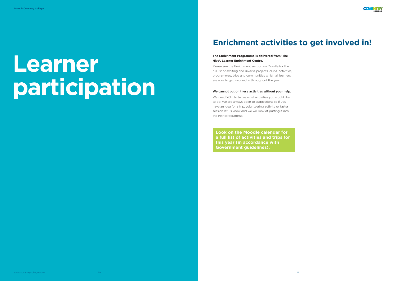# **Learner participation**

#### **The Enrichment Programme is delivered from 'The Hive', Learner Enrichment Centre.**

Please see the Enrichment section on Moodle for the full list of exciting and diverse projects, clubs, activities, programmes, trips and communities which all learners are able to get involved in throughout the year.

#### **We cannot put on these activities without your help.**

We need YOU to tell us what activities you would like to do! We are always open to suggestions so if you have an idea for a trip, volunteering activity or taster session let us know and we will look at putting it into the next programme.

**Look on the Moodle calendar for a full list of activities and trips for this year (in accordance with Government guidelines).**



## **Enrichment activities to get involved in!**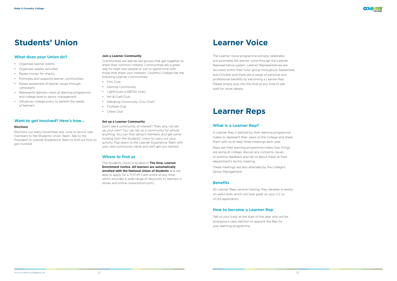#### **What does your Union do?**

- Organises learner events
- Organises weekly activities
- Raises money for charity
- Promotes and supports learner communities
- Raises awareness of learner issues through campaigns
- Represents learners views at learning programme and college level to senior management
- Influences college policy to benefit the needs of learners

#### **Want to get involved? Here's how...**

#### **Elections**

Elections run every November and June to recruit new members to the Students' Union Team. Talk to the President or Learner Experience Team to find out how to get involved.

#### **Join a Learner Community**

Communities are learner led groups that get together to share their common interest. Communities are a great way to meet new people or just to spend time with those that share your interests. Coventry College has the following Learner Communities:

- Film Club
- Gaming Community
- Lighthouse (LGBTQ+ club)
- Art & Craft Club
- Debating Community (Cov Chat)
- Football Club
- Chess Club

#### **Set up a Learner Community**

Don't see a community of interest? Then why not set up your own? You can set up a community for almost anything. You can then attract members and get some funding from the Students' Union to carry out your activity. Pop down to the Learner Experience Team with your new community name and we'll get you started.

#### **Where to find us**

The Students Union is located in **The Hive, Learner Enrichment Centre. All learners are automatically enrolled with the National Union of Students** and are able to apply for a TOTUM Card online at any time, which provides a wide range of discounts to learners in stores and online (www.totum.com).

## **Students' Union**

The Learner Voice programme actively celebrates and promotes the learner voice through the Learner Representative system. Learner Representatives are recruited within their tutor group throughout September and October and there are a range of personal and professional benefits by becoming a Learner Rep. Please simply pop into the Hive at any time to ask staff for more details.

#### **What is a Learner Rep?**

A Learner Rep is elected by their learning programme mates to represent their views to the College and share them with us at least three meetings each year.

Reps ask their learning programme mates how things are going at college, discuss any concerns, issues or positive feedback and tell us about these at their department's termly meeting.

These meetings are also attended by the College's Senior Management.

#### **Benefits**

All Learner Reps receive training, they develop a variety of useful skills which will look great on your CV or UCAS application.

#### **How to become a Learner Rep**

Talk to your tutor at the start of the year who will be arranging a class election to appoint the Rep for your learning programme.

## **Learner Voice**

## **Learner Reps**

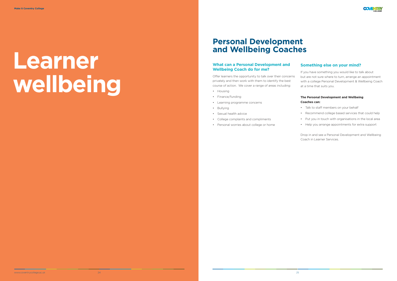#### **What can a Personal Development and Wellbeing Coach do for me?**

Offer learners the opportunity to talk over their concerns privately and then work with them to identify the best course of action. We cover a range of areas including:

- Housing
- Finance/funding
- Learning programme concerns
- Bullying
- Sexual health advice
- College complaints and compliments
- Personal worries about college or home

#### **Something else on your mind?**

# **Learner wellbeing**

If you have something you would like to talk about but are not sure where to turn, arrange an appointment with a college Personal Development & Wellbeing Coach at a time that suits you.

#### **The Personal Development and Wellbeing Coaches can:**

- Talk to staff members on your behalf
- Recommend college based services that could help
- Put you in touch with organisations in the local area
- Help you arrange appointments for extra support

Drop in and see a Personal Development and Wellbeing Coach in Learner Services.

## **Personal Development and Wellbeing Coaches**

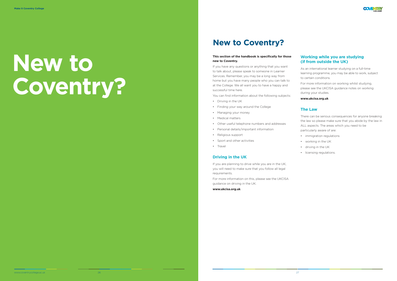# **New to Coventry?**

#### **This section of the handbook is specifically for those new to Coventry.**

If you have any questions or anything that you want to talk about, please speak to someone in Learner Services. Remember, you may be a long way from home but you have many people who you can talk to at the College. We all want you to have a happy and successful time here.

You can find information about the following subjects:

- Driving in the UK
- Finding your way around the College
- Managing your money
- Medical matters
- Other useful telephone numbers and addresses
- Personal details/important information
- Religious support
- Sport and other activities
- Travel

#### **Driving in the UK**

If you are planning to drive while you are in the UK, you will need to make sure that you follow all legal requirements.

For more information on this, please see the UKCISA guidance on driving in the UK.

**www.ukcisa.org.uk**

#### **Working while you are studying (if from outside the UK)**

As an international learner studying on a full-time learning programme, you may be able to work, subject to certain conditions.

For more information on working whilst studying, please see the UKCISA guidance notes on working during your studies.

**www.ukcisa.org.uk**

#### **The Law**

There can be serious consequences for anyone breaking the law so please make sure that you abide by the law in ALL aspects. The areas which you need to be particularly aware of are:

- immigration regulations
- working in the UK
- driving in the UK
- licensing regulations.

## **New to Coventry?**

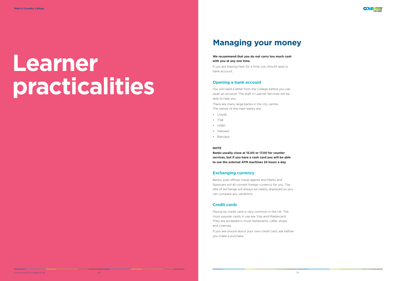# **Learner practicalities**

#### **We recommend that you do not carry too much cash with you at any one time.**

If you are staying here for a time, you should open a bank account.

#### **Opening a bank account**

You will need a letter from the College before you can open an account. The staff in Learner Services will be able to help you.

There are many large banks in the city centre. The names of the main banks are:

- Lloyds
- TSB
- HSBC
- Natwest
- Barclays.

#### **NOTE**

**Banks usually close at 15.00 or 17.00 for counter services, but if you have a cash card you will be able to use the external ATM machines 24 hours a day.**

#### **Exchanging currency**

Banks, post offices, travel agents and Marks and Spencers will all convert foreign currency for you. The rate of exchange will always be clearly displayed so you can compare any variations.

#### **Credit cards**

Paying by credit card is very common in the UK. The most popular cards in use are Visa and Mastercard. They are accepted in most restaurants, cafes, shops and cinemas.

If you are unsure about your own credit card, ask before you make a purchase.

## **Managing your money**

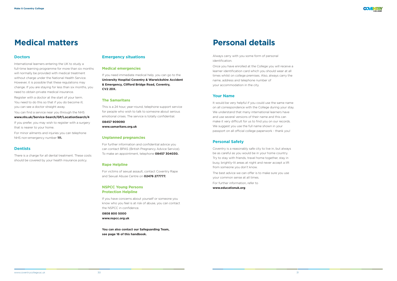#### **Doctors**

International learners entering the UK to study a full-time learning programme for more than six months will normally be provided with medical treatment without charge under the National Health Service. However, it is possible that these regulations may change. If you are staying for less than six months, you need to obtain private medical insurance.

Register with a doctor at the start of your term. You need to do this so that if you do become ill, you can see a doctor straight away.

You can find a service near you through the NHS

**www.nhs.uk/Service-Search/GP/LocationSearch/4** 

If you prefer, you may wish to register with a surgery that is nearer to your home.

For minor ailments and injuries you can telephone NHS non-emergency number **111.**

#### **Dentists**

There is a charge for all dental treatment. These costs should be covered by your health insurance policy.

#### **Emergency situations**

#### **Medical emergencies**

If you need immediate medical help, you can go to the **University Hospital Coventry & Warwickshire Accident & Emergency, Clifford Bridge Road, Coventry, CV2 2DX.**

#### **The Samaritans**

This is a 24 hour, year-round, telephone support service for people who wish to talk to someone about serious emotional crises. The service is totally confidential.

**08457 909090 www.samaritans.org.uk**

#### **Unplanned pregnancies**

For further information and confidential advice you can contact BPAS (British Pregnancy Advice Service). To make an appointment, telephone **08457 304030.**

#### **Rape Helpline**

For victims of sexual assault, contact Coventry Rape and Sexual Abuse Centre on **02476 277777.**

#### **NSPCC Young Persons Protection Helpline**

If you have concerns about yourself or someone you know who you feel is at risk of abuse, you can contact the NSPCC in confidence.

**0808 800 5000 www.nspcc.org.uk**

**You can also contact our Safeguarding Team, see page 16 of this handbook.**

## **Medical matters**

Always carry with you some form of personal identification.

Once you have enrolled at the College you will receive a learner identification card which you should wear at all times whilst on college premises. Also, always carry the name, address and telephone number of your accommodation in the city.

#### **Your Name**

It would be very helpful if you could use the same name on all correspondence with the College during your stay. We understand that many international learners have and use several versions of their name and this can make it very difficult for us to find you on our records. We suggest you use the full name shown in your passport on all official college paperwork - thank you!

#### **Personal Safety**

Coventry is a reasonably safe city to live in, but always be as careful as you would be in your home country. Try to stay with friends, travel home together, stay in busy, brightly-lit areas at night and never accept a lift from someone you don't know.

The best advice we can offer is to make sure you use your common sense at all times.

For further information, refer to **www.educationuk.org**

## **Personal details**

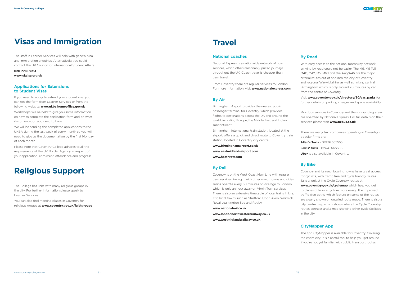#### **National coaches**

National Express is a nationwide network of coach services, which offers reasonably priced journeys throughout the UK. Coach travel is cheaper than train travel.

From Coventry there are regular services to London. For more information, visit **www.nationalexpress.com**

#### **By Air**

Birmingham Airport provides the nearest public passenger terminal for Coventry, which provides flights to destinations across the UK and around the world, including Europe, the Middle East and Indian subcontinent.

Birmingham International train station, located at the airport, offers a quick and direct route to Coventry train station, located in Coventry city centre.

**www.birminghamairport.co.uk www.eastmidlandsairport.com www.heathrow.com**

### **By Rail**

Coventry is on the West Coast Main Line with regular train services linking it with other major towns and cities. Trains operate every 30 minutes on average to London which is only an hour away on Virgin Train services. There is also an extensive timetable of local trains linking it to local towns such as Stratford-Upon-Avon, Warwick, Royal Leamington Spa and Rugby.

**Allen's Taxis** - 02476 555555 **Lewis' Taxis** - 02476 666666 **Uber** is also available in Coventry.

**www.nationalrail.co.uk**

**www.londonnorthwesternrailway.co.uk www.westmidlandsrailway.co.uk**

### **By Road**

With easy access to the national motorway network, arriving by road could not be easier. The M6, M6 Toll, M40, M42, M5, M69 and the A45/A46 are the major arterial routes out of and into the city of Coventry and regional Warwickshire, as well as linking central Birmingham which is only around 20 minutes by car from the centre of Coventry.

Visit **www.coventry.gov.uk/directory/30/car\_parks** for further details on parking charges and space availability

Most bus services in Coventry and the surrounding areas are operated by National Express. For full details on their services please visit **www.nxbus.co.uk**.

There are many taxi companies operating in Coventry popular firms are:

### **By Bike**

Coventry and its neighbouring towns have great access for cyclists, with traffic free and cycle friendly routes. Take a look at the Cycle Coventry routes at

**www.coventry.gov.uk/cyclemap** which help you get to places of leisure by bike more easily. The improved traffic-free paths, which feature on some of the routes, are clearly shown on detailed route maps. There is also a city centre map which shows where the Cycle Coventry routes connect and a map showing other cycle facilities in the city.

### **CityMapper App**

The app CityMapper is available for Coventry. Covering the entire city, it is a useful tool to help you get around if you're not yet familiar with public transport routes.

The staff in Learner Services will help with general visa and immigration enquiries. Alternatively, you could contact the UK Council for International Student Affairs

**020 7788 9214 www.ukcisa.org.uk**

#### **Applications for Extensions to Student Visas**

If you need to apply to extend your student visa, you can get the form from Learner Services or from the

following website: **www.ukba.homeoffice.gov.uk**

Workshops will be held to give you some information on how to complete the application form and on what documentation you need to have.

We will be sending the completed applications to the UKBA during the last week of every month so you will need to give us the documentation by the first Monday of each month.

Please note that Coventry College adheres to all the requirements of the UK Border Agency in respect of your application, enrolment, attendance and progress.

## **Religious Support**

The College has links with many religious groups in the city. For further information please speak to Learner Services.

You can also find meeting places in Coventry for religious groups at **www.coventry.gov.uk/faithgroups**



## **Visas and Immigration Travel**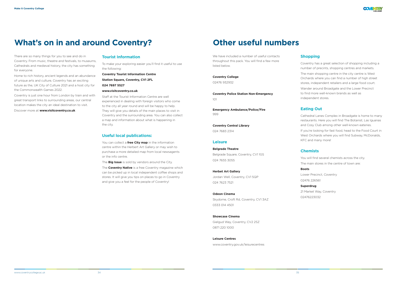There are so many things for you to see and do in Coventry. From music, theatre and festivals, to museums, Cathedrals and medieval history, the city has something for everyone.

Home to rich history, ancient legends and an abundance of unique arts and culture, Coventry has an exciting future as the, UK City of Culture 2021 and a host city for the Commonwealth Games 2022.

Coventry is just one hour from London by train and with great transport links to surrounding areas, our central location makes the city an ideal destination to visit.

Discover more at **www.visitcoventry.co.uk**

#### **Tourist Information**

To make your exploring easier you'll find it useful to use the following:

#### **Coventry Tourist Information Centre**

**Station Square, Coventry, CV1 2FL**

**024 7697 5527**

#### **www.visitcoventry.co.uk**

We have included a number of useful contacts throughout this pack. You will find a few more listed below.

Staff at the Tourist Information Centre are well experienced in dealing with foreign visitors who come to the city all year round and will be happy to help. They will give you details of the main places to visit in Coventry and the surrounding area. You can also collect a map and information about what is happening in the city.

#### **Useful local publications:**

You can collect a **free City map** in the information centre within the Herbert Art Gallery or may wish to purchase a more detailed map from local newsagents or the info centre.

The **Big Issue** is sold by vendors around the City.

The **Coventry Native** is a free Coventry magazine which can be picked up in local independent coffee shops and stores. It will give you tips on places to go in Coventry and give you a feel for the people of Coventry!

**Coventry College**

02476 932932

**Coventry Police Station Non-Emergency** 101

**Emergency Ambulance/Police/Fire**  999

**Coventry Central Library** 024 7683 2314

#### **Leisure**

#### **Belgrade Theatre**

Belgrade Square, Coventry, CV1 1GS 024 7655 3055

#### **Herbet Art Gallery**

Jordan Well, Coventry, CV1 5QP 024 7623 7521

#### **Odeon Cinema**

Skydome, Croft Rd, Coventry, CV1 3AZ 0333 014 4501

#### **Showcase Cinema**

Gielgud Way, Coventry, CV2 2SZ 0871 220 1000

#### **Leisure Centres**

www.coventry.gov.uk/leisurecentres

### **Shopping**

Coventry has a great selection of shopping including a number of precints, shopping centres and markets.

The main shopping centre in the city centre is West Orchards where you can find a number of high street stores, independent retailers and a large food court.

Wander around Broadgate and the Lower Precinct to find more well-known brands as well as independent stores.

### **Eating Out**

Cathedral Lanes Complex in Broadgate is home to many restaurants. Here you will find The Botanist, Las Iguanas and Cosy Club among other well-known eateries.

If you're looking for fast food, head to the Food Court in West Orchards where you will find Subway, McDonalds, KFC and many more!

#### **Chemists**

You will find several chemists across the city.

The main stores in the centre of town are:

#### **Boots**

Lower Precinct, Coventry 02476 226561

#### **Superdrug**

21 Market Way, Coventry 02476223032



## **What's on in and around Coventry? Construment Construment Coventy Construment Construment Construment Construment Construment Construment Construment Construment Construment Construment Construment Construment Constru**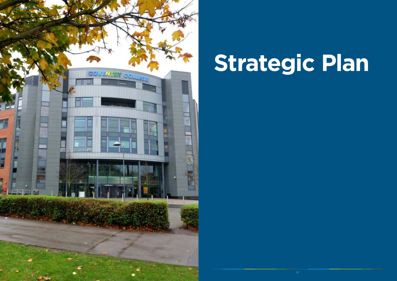# **Strategic Plan**

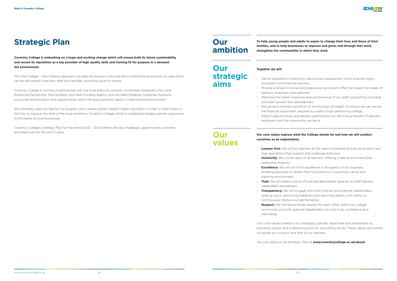**Coventry College is embarking on a huge and exciting change which will ensure both its future sustainability and secure its reputation as a key provider of high quality skills and training fit for purpose in a demand led environment.**

The One College – One Campus approach will align all provision onto one site to streamline economies of scale which can be reinvested in learners, staff and facilities, providing value for money.

Coventry College is working in partnership with the local authority, schools, universities, employers, the Local Enterprise Partnership, the Education and Skills Funding Agency and the West Midlands Combined Authority to provide the education and opportunities which the local economy needs in a demand led environment.

### **Strategic Plan** *Plan Plan <b>Plan Plan <b>Planet Planet <b>Planet Planet <b>Planet Planet <b>Planet Planet <b>Planet Planet <b>Planet Planet Planet <b>Planet Planet Planet <b>Planet Pla* **families, and to help businesses to improve and grow; and through that work,**

We ultimately want our learners to progress onto careers and/or relevant higher education in order to retain them in the City to improve the skills of the local workforce. Coventry College will be a trusted and reliable partner, responsive to the needs of local businesses.

Coventry College's Strategic Plan for the period 2021 – 2024 reflects the key challenges, opportunities, priorities and objectives for the next 3 years.

**strengthen the communities in which they work.** 

#### **Together we will:**

- **Inclusivity:** We will be open to all learners, offering a safe environment that
- **Trust:** We will create a culture of trust and demonstrate value for our staff, learners,
- **Respect:** We will demonstrate respect for each other within our college community and with external stakeholders to build trust, confidence and
- Deliver excellence in teaching, learning and assessment which ensures highly successful outcomes for learners
- Provide a broad, inclusive and responsive curriculum offer that meets the needs of learners, employers and partners
- Maximise the talent, expertise and performance of our staff, supporting individual and team growth and development
- Secure and maintain a position of strong financial health, to ensure we can secure the financial investment required to create a high performing college.
- employers and the community we serve

**•** Exploit opportunities and develop partnerships for the mutual benefit of learners,

#### **Our core values express what the College stands for and how we will conduct**

## **ourselves as an organisation.**

- **Learner first:** We will put learners at the heart of everything that we do and have high aspirations that support and challenge everyone.
- celebrates diversity.
- **Excellence:** We will strive for excellence in all aspects of our business, enabling everyone to realise their full potential in a positive, caring and inspiring environment.
- stakeholders and partners.
- **Transparency:** We will engage with both internal and external stakeholders, seeking input, welcoming feedback and reporting openly with clarity to continuously improve our performance.
- well-being.

Our core values underpin our strategies, policies, objectives and procedures by providing a basis and a reference point for everything we do. These values and beliefs will guide our conduct and that of our learners.

You can read our full Strategic Plan at **www.coventrycollege.ac.uk/about**

## **Our ambition**

## **Our strategic aims**

### **Our values**